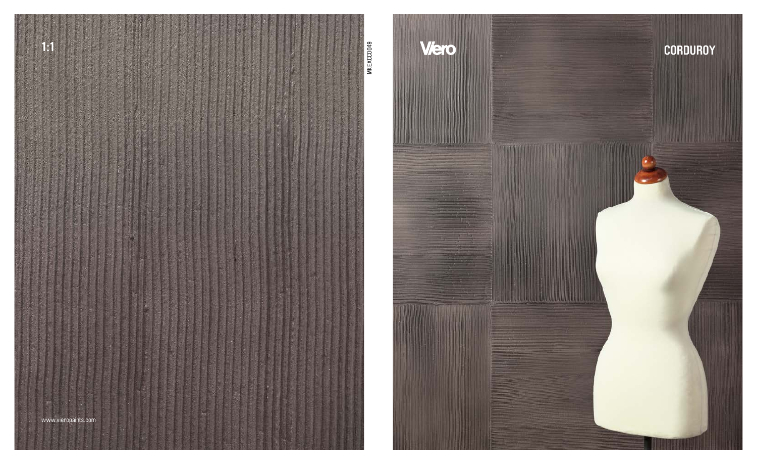

Viero

**STATISTICS** 

## **CORDUROY**